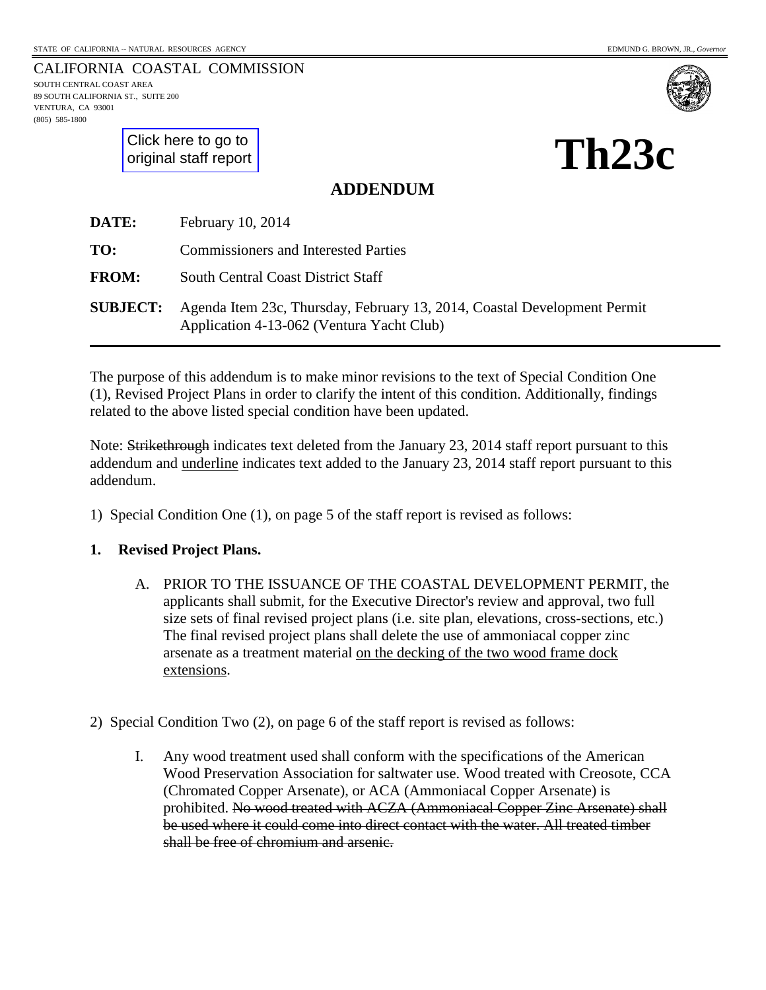CALIFORNIA COASTAL COMMISSION SOUTH CENTRAL COAST AREA 89 SOUTH CALIFORNIA ST., SUITE 200 VENTURA, CA 93001 (805) 585-1800



[Click here to go to](#page-2-0)  original staff report **Th23c** 

**ADDENDUM**

| DATE:           | February 10, 2014                                                                                                     |
|-----------------|-----------------------------------------------------------------------------------------------------------------------|
| TO:             | <b>Commissioners and Interested Parties</b>                                                                           |
| <b>FROM:</b>    | South Central Coast District Staff                                                                                    |
| <b>SUBJECT:</b> | Agenda Item 23c, Thursday, February 13, 2014, Coastal Development Permit<br>Application 4-13-062 (Ventura Yacht Club) |

The purpose of this addendum is to make minor revisions to the text of Special Condition One (1), Revised Project Plans in order to clarify the intent of this condition. Additionally, findings related to the above listed special condition have been updated.

Note: Strikethrough indicates text deleted from the January 23, 2014 staff report pursuant to this addendum and underline indicates text added to the January 23, 2014 staff report pursuant to this addendum.

1) Special Condition One (1), on page 5 of the staff report is revised as follows:

#### **1. Revised Project Plans.**

- A. PRIOR TO THE ISSUANCE OF THE COASTAL DEVELOPMENT PERMIT, the applicants shall submit, for the Executive Director's review and approval, two full size sets of final revised project plans (i.e. site plan, elevations, cross-sections, etc.) The final revised project plans shall delete the use of ammoniacal copper zinc arsenate as a treatment material on the decking of the two wood frame dock extensions.
- 2) Special Condition Two (2), on page 6 of the staff report is revised as follows:
	- I. Any wood treatment used shall conform with the specifications of the American Wood Preservation Association for saltwater use. Wood treated with Creosote, CCA (Chromated Copper Arsenate), or ACA (Ammoniacal Copper Arsenate) is prohibited. No wood treated with ACZA (Ammoniacal Copper Zinc Arsenate) shall be used where it could come into direct contact with the water. All treated timber shall be free of chromium and arsenic.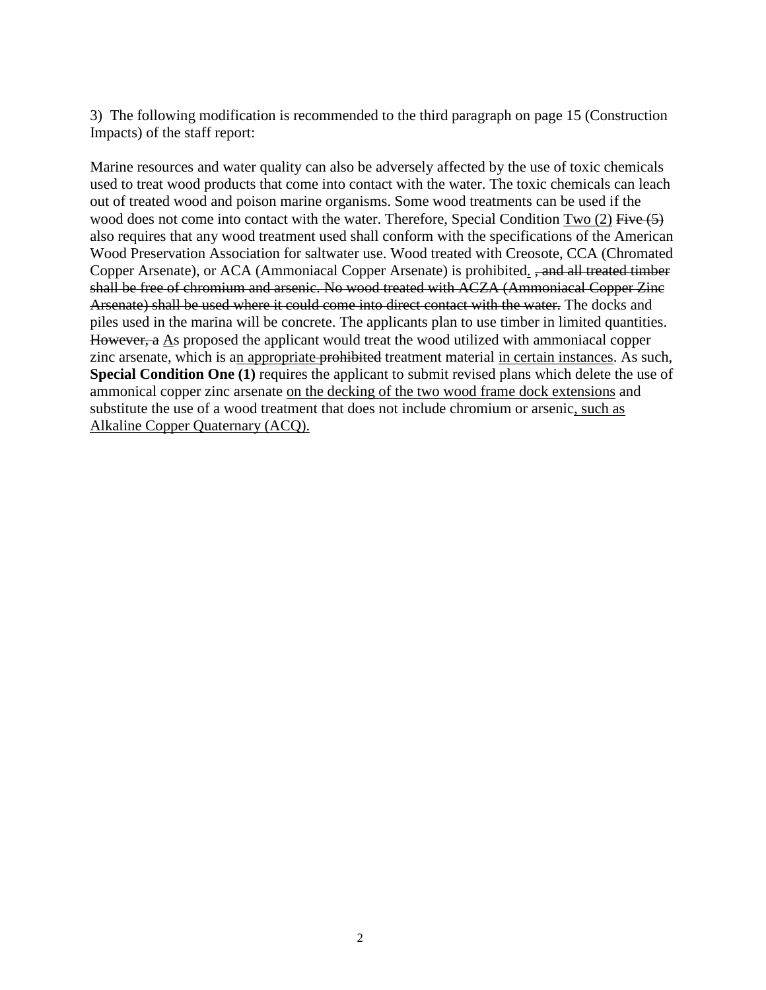3) The following modification is recommended to the third paragraph on page 15 (Construction Impacts) of the staff report:

Marine resources and water quality can also be adversely affected by the use of toxic chemicals used to treat wood products that come into contact with the water. The toxic chemicals can leach out of treated wood and poison marine organisms. Some wood treatments can be used if the wood does not come into contact with the water. Therefore, Special Condition  $Two (2)$  Five  $(5)$ also requires that any wood treatment used shall conform with the specifications of the American Wood Preservation Association for saltwater use. Wood treated with Creosote, CCA (Chromated Copper Arsenate), or ACA (Ammoniacal Copper Arsenate) is prohibited. , and all treated timber shall be free of chromium and arsenic. No wood treated with ACZA (Ammoniacal Copper Zinc Arsenate) shall be used where it could come into direct contact with the water. The docks and piles used in the marina will be concrete. The applicants plan to use timber in limited quantities. However, a As proposed the applicant would treat the wood utilized with ammoniacal copper zinc arsenate, which is an appropriate-prohibited treatment material in certain instances. As such, **Special Condition One (1)** requires the applicant to submit revised plans which delete the use of ammonical copper zinc arsenate on the decking of the two wood frame dock extensions and substitute the use of a wood treatment that does not include chromium or arsenic, such as Alkaline Copper Quaternary (ACQ).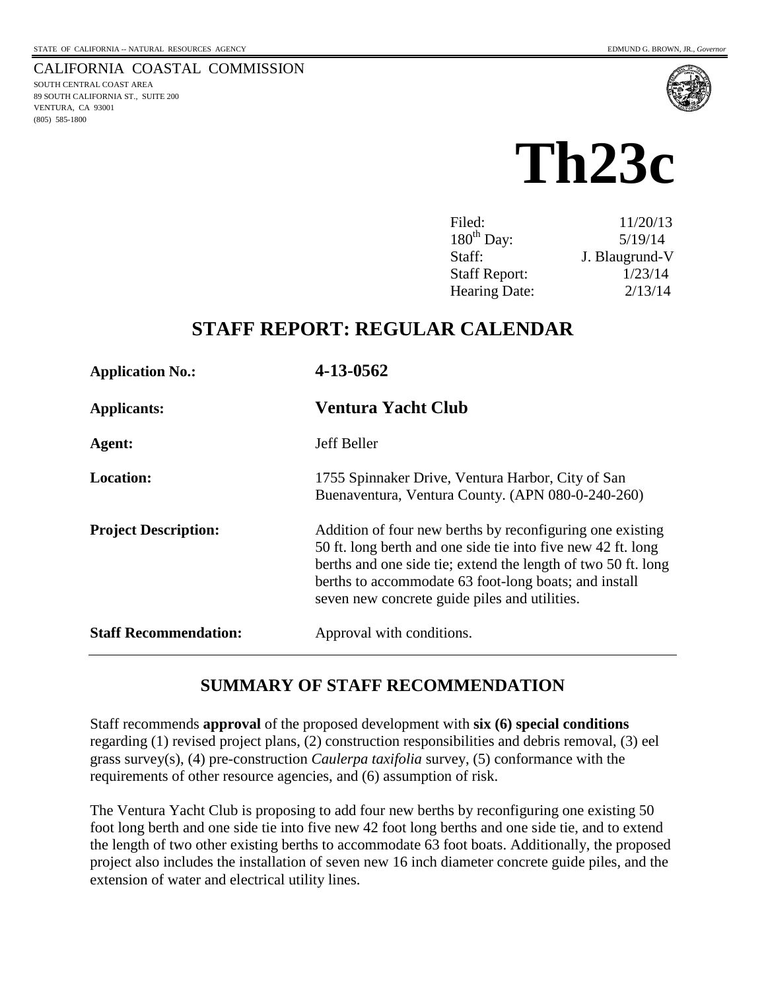

# **Th23c**

<span id="page-2-0"></span>

| Filed:               | 11/20/13       |
|----------------------|----------------|
| $180th$ Day:         | 5/19/14        |
| Staff:               | J. Blaugrund-V |
| <b>Staff Report:</b> | 1/23/14        |
| Hearing Date:        | 2/13/14        |

## **STAFF REPORT: REGULAR CALENDAR**

| <b>Application No.:</b>      | 4-13-0562<br>Ventura Yacht Club                                                                                                                                                                                                                                                                      |  |  |
|------------------------------|------------------------------------------------------------------------------------------------------------------------------------------------------------------------------------------------------------------------------------------------------------------------------------------------------|--|--|
| <b>Applicants:</b>           |                                                                                                                                                                                                                                                                                                      |  |  |
| Agent:                       | Jeff Beller                                                                                                                                                                                                                                                                                          |  |  |
| <b>Location:</b>             | 1755 Spinnaker Drive, Ventura Harbor, City of San<br>Buenaventura, Ventura County. (APN 080-0-240-260)                                                                                                                                                                                               |  |  |
| <b>Project Description:</b>  | Addition of four new berths by reconfiguring one existing<br>50 ft. long berth and one side tie into five new 42 ft. long<br>berths and one side tie; extend the length of two 50 ft. long<br>berths to accommodate 63 foot-long boats; and install<br>seven new concrete guide piles and utilities. |  |  |
| <b>Staff Recommendation:</b> | Approval with conditions.                                                                                                                                                                                                                                                                            |  |  |

## **SUMMARY OF STAFF RECOMMENDATION**

Staff recommends **approval** of the proposed development with **six (6) special conditions** regarding (1) revised project plans, (2) construction responsibilities and debris removal, (3) eel grass survey(s), (4) pre-construction *Caulerpa taxifolia* survey, (5) conformance with the requirements of other resource agencies, and (6) assumption of risk.

The Ventura Yacht Club is proposing to add four new berths by reconfiguring one existing 50 foot long berth and one side tie into five new 42 foot long berths and one side tie, and to extend the length of two other existing berths to accommodate 63 foot boats. Additionally, the proposed project also includes the installation of seven new 16 inch diameter concrete guide piles, and the extension of water and electrical utility lines.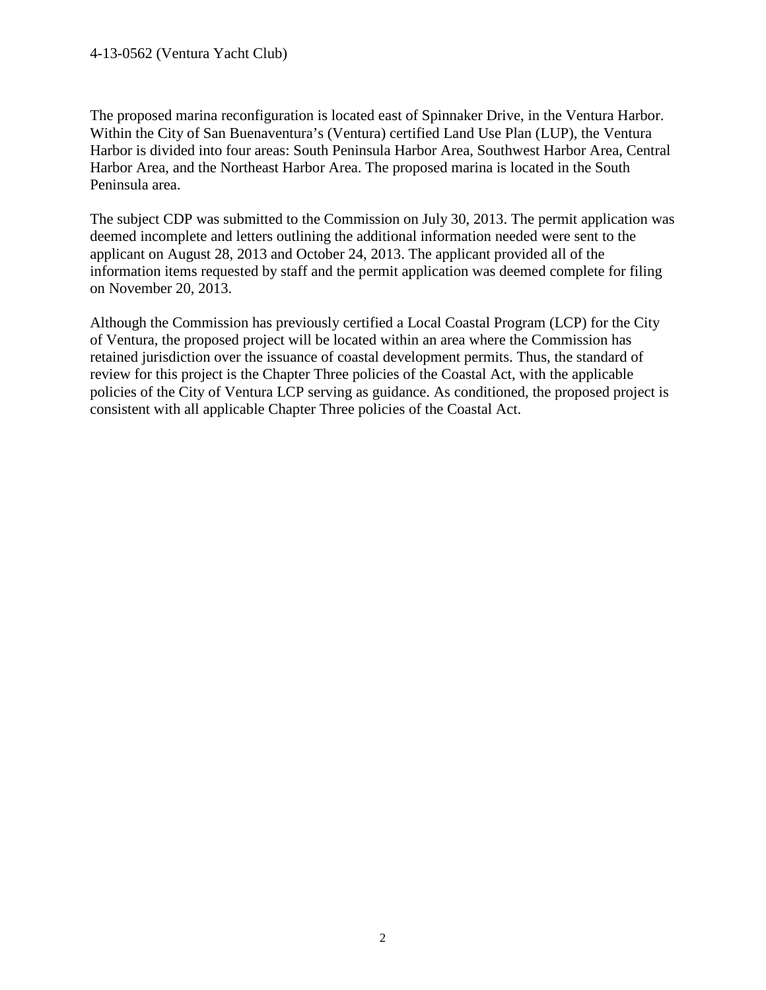#### 4-13-0562 (Ventura Yacht Club)

The proposed marina reconfiguration is located east of Spinnaker Drive, in the Ventura Harbor. Within the City of San Buenaventura's (Ventura) certified Land Use Plan (LUP), the Ventura Harbor is divided into four areas: South Peninsula Harbor Area, Southwest Harbor Area, Central Harbor Area, and the Northeast Harbor Area. The proposed marina is located in the South Peninsula area.

The subject CDP was submitted to the Commission on July 30, 2013. The permit application was deemed incomplete and letters outlining the additional information needed were sent to the applicant on August 28, 2013 and October 24, 2013. The applicant provided all of the information items requested by staff and the permit application was deemed complete for filing on November 20, 2013.

Although the Commission has previously certified a Local Coastal Program (LCP) for the City of Ventura, the proposed project will be located within an area where the Commission has retained jurisdiction over the issuance of coastal development permits. Thus, the standard of review for this project is the Chapter Three policies of the Coastal Act, with the applicable policies of the City of Ventura LCP serving as guidance. As conditioned, the proposed project is consistent with all applicable Chapter Three policies of the Coastal Act.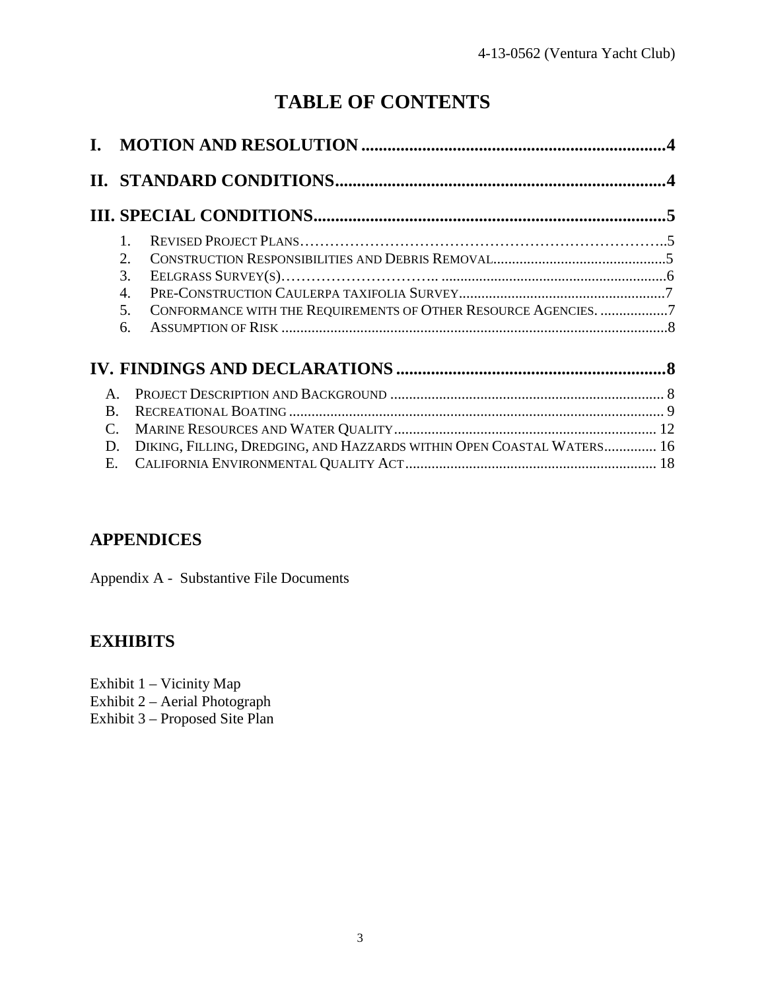## **TABLE OF CONTENTS**

|                                      | $1_{-}$<br>2.<br>$\mathcal{R}_{\alpha}$<br>4.<br>CONFORMANCE WITH THE REQUIREMENTS OF OTHER RESOURCE AGENCIES. 7<br>5.<br>6. |  |
|--------------------------------------|------------------------------------------------------------------------------------------------------------------------------|--|
|                                      |                                                                                                                              |  |
| $\mathbf{A}$<br>B.<br>C.<br>D.<br>Е. | DIKING, FILLING, DREDGING, AND HAZZARDS WITHIN OPEN COASTAL WATERS 16                                                        |  |

## **APPENDICES**

Appendix A - Substantive File Documents

## **EXHIBITS**

Exhibit 1 – Vicinity Map Exhibit 2 – Aerial Photograph

Exhibit 3 – Proposed Site Plan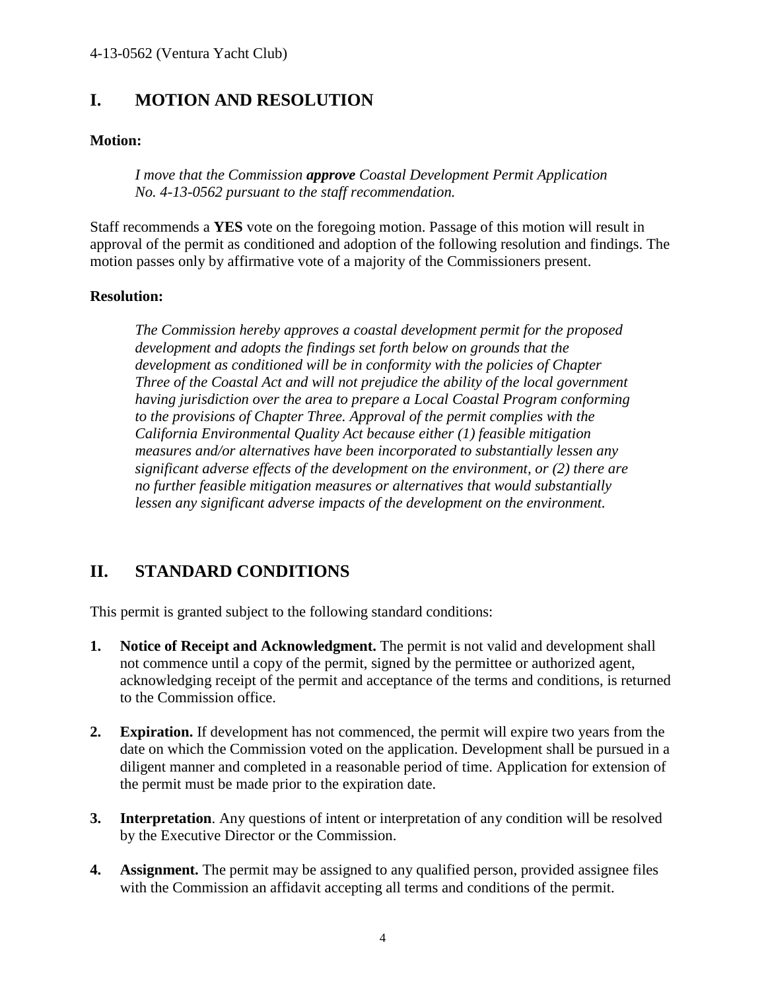## **I. MOTION AND RESOLUTION**

#### **Motion:**

*I move that the Commission approve Coastal Development Permit Application No. 4-13-0562 pursuant to the staff recommendation.* 

Staff recommends a **YES** vote on the foregoing motion. Passage of this motion will result in approval of the permit as conditioned and adoption of the following resolution and findings. The motion passes only by affirmative vote of a majority of the Commissioners present.

#### **Resolution:**

*The Commission hereby approves a coastal development permit for the proposed development and adopts the findings set forth below on grounds that the development as conditioned will be in conformity with the policies of Chapter Three of the Coastal Act and will not prejudice the ability of the local government having jurisdiction over the area to prepare a Local Coastal Program conforming to the provisions of Chapter Three. Approval of the permit complies with the California Environmental Quality Act because either (1) feasible mitigation measures and/or alternatives have been incorporated to substantially lessen any significant adverse effects of the development on the environment, or (2) there are no further feasible mitigation measures or alternatives that would substantially lessen any significant adverse impacts of the development on the environment.* 

## **II. STANDARD CONDITIONS**

This permit is granted subject to the following standard conditions:

- **1. Notice of Receipt and Acknowledgment.** The permit is not valid and development shall not commence until a copy of the permit, signed by the permittee or authorized agent, acknowledging receipt of the permit and acceptance of the terms and conditions, is returned to the Commission office.
- **2. Expiration.** If development has not commenced, the permit will expire two years from the date on which the Commission voted on the application. Development shall be pursued in a diligent manner and completed in a reasonable period of time. Application for extension of the permit must be made prior to the expiration date.
- **3. Interpretation**. Any questions of intent or interpretation of any condition will be resolved by the Executive Director or the Commission.
- **4. Assignment.** The permit may be assigned to any qualified person, provided assignee files with the Commission an affidavit accepting all terms and conditions of the permit.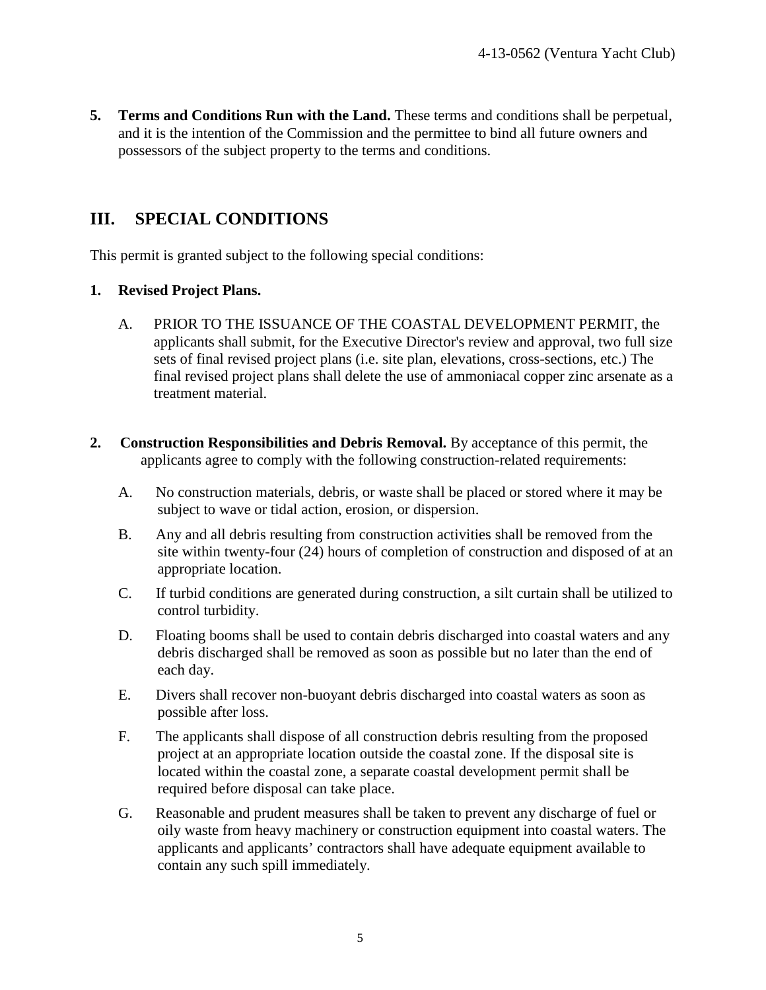**5. Terms and Conditions Run with the Land.** These terms and conditions shall be perpetual, and it is the intention of the Commission and the permittee to bind all future owners and possessors of the subject property to the terms and conditions.

## **III. SPECIAL CONDITIONS**

This permit is granted subject to the following special conditions:

#### **1. Revised Project Plans.**

- A. PRIOR TO THE ISSUANCE OF THE COASTAL DEVELOPMENT PERMIT, the applicants shall submit, for the Executive Director's review and approval, two full size sets of final revised project plans (i.e. site plan, elevations, cross-sections, etc.) The final revised project plans shall delete the use of ammoniacal copper zinc arsenate as a treatment material.
- **2. Construction Responsibilities and Debris Removal.** By acceptance of this permit, the applicants agree to comply with the following construction-related requirements:
	- A. No construction materials, debris, or waste shall be placed or stored where it may be subject to wave or tidal action, erosion, or dispersion.
	- B. Any and all debris resulting from construction activities shall be removed from the site within twenty-four (24) hours of completion of construction and disposed of at an appropriate location.
	- C. If turbid conditions are generated during construction, a silt curtain shall be utilized to control turbidity.
	- D. Floating booms shall be used to contain debris discharged into coastal waters and any debris discharged shall be removed as soon as possible but no later than the end of each day.
	- E. Divers shall recover non-buoyant debris discharged into coastal waters as soon as possible after loss.
	- F. The applicants shall dispose of all construction debris resulting from the proposed project at an appropriate location outside the coastal zone. If the disposal site is located within the coastal zone, a separate coastal development permit shall be required before disposal can take place.
	- G. Reasonable and prudent measures shall be taken to prevent any discharge of fuel or oily waste from heavy machinery or construction equipment into coastal waters. The applicants and applicants' contractors shall have adequate equipment available to contain any such spill immediately.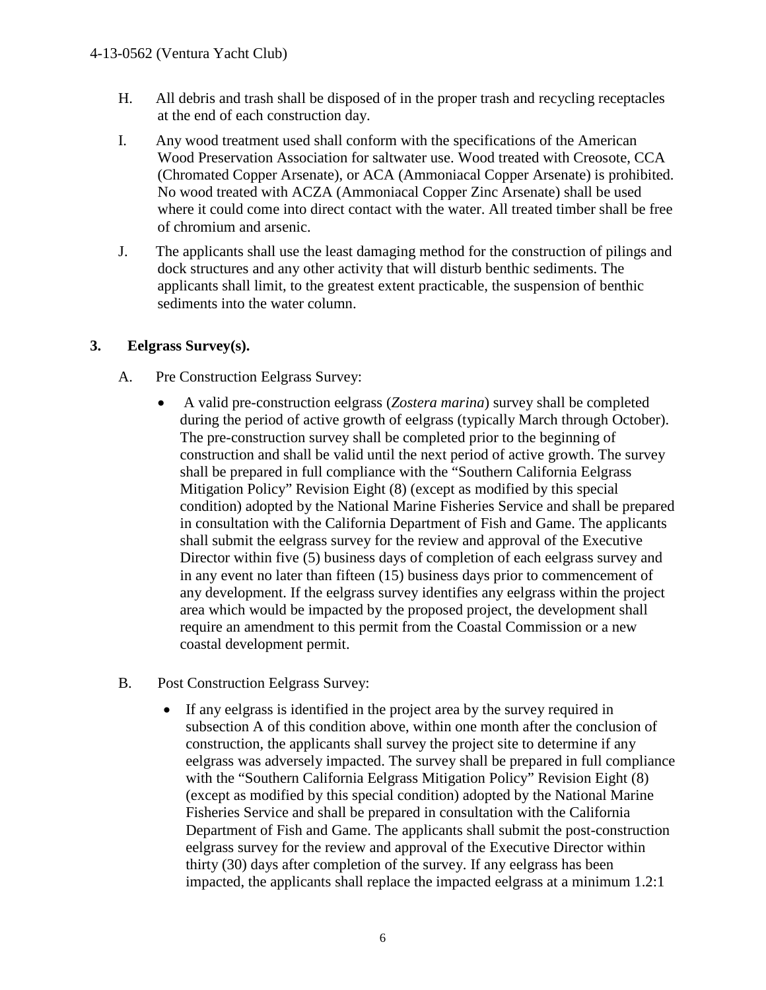- H. All debris and trash shall be disposed of in the proper trash and recycling receptacles at the end of each construction day.
- I. Any wood treatment used shall conform with the specifications of the American Wood Preservation Association for saltwater use. Wood treated with Creosote, CCA (Chromated Copper Arsenate), or ACA (Ammoniacal Copper Arsenate) is prohibited. No wood treated with ACZA (Ammoniacal Copper Zinc Arsenate) shall be used where it could come into direct contact with the water. All treated timber shall be free of chromium and arsenic.
- J. The applicants shall use the least damaging method for the construction of pilings and dock structures and any other activity that will disturb benthic sediments. The applicants shall limit, to the greatest extent practicable, the suspension of benthic sediments into the water column.

#### **3. Eelgrass Survey(s).**

- A.Pre Construction Eelgrass Survey:
	- A valid pre-construction eelgrass (*Zostera marina*) survey shall be completed during the period of active growth of eelgrass (typically March through October). The pre-construction survey shall be completed prior to the beginning of construction and shall be valid until the next period of active growth. The survey shall be prepared in full compliance with the "Southern California Eelgrass Mitigation Policy" Revision Eight (8) (except as modified by this special condition) adopted by the National Marine Fisheries Service and shall be prepared in consultation with the California Department of Fish and Game. The applicants shall submit the eelgrass survey for the review and approval of the Executive Director within five (5) business days of completion of each eelgrass survey and in any event no later than fifteen (15) business days prior to commencement of any development. If the eelgrass survey identifies any eelgrass within the project area which would be impacted by the proposed project, the development shall require an amendment to this permit from the Coastal Commission or a new coastal development permit.
- B. Post Construction Eelgrass Survey:
	- If any eelgrass is identified in the project area by the survey required in subsection A of this condition above, within one month after the conclusion of construction, the applicants shall survey the project site to determine if any eelgrass was adversely impacted. The survey shall be prepared in full compliance with the "Southern California Eelgrass Mitigation Policy" Revision Eight (8) (except as modified by this special condition) adopted by the National Marine Fisheries Service and shall be prepared in consultation with the California Department of Fish and Game. The applicants shall submit the post-construction eelgrass survey for the review and approval of the Executive Director within thirty (30) days after completion of the survey. If any eelgrass has been impacted, the applicants shall replace the impacted eelgrass at a minimum 1.2:1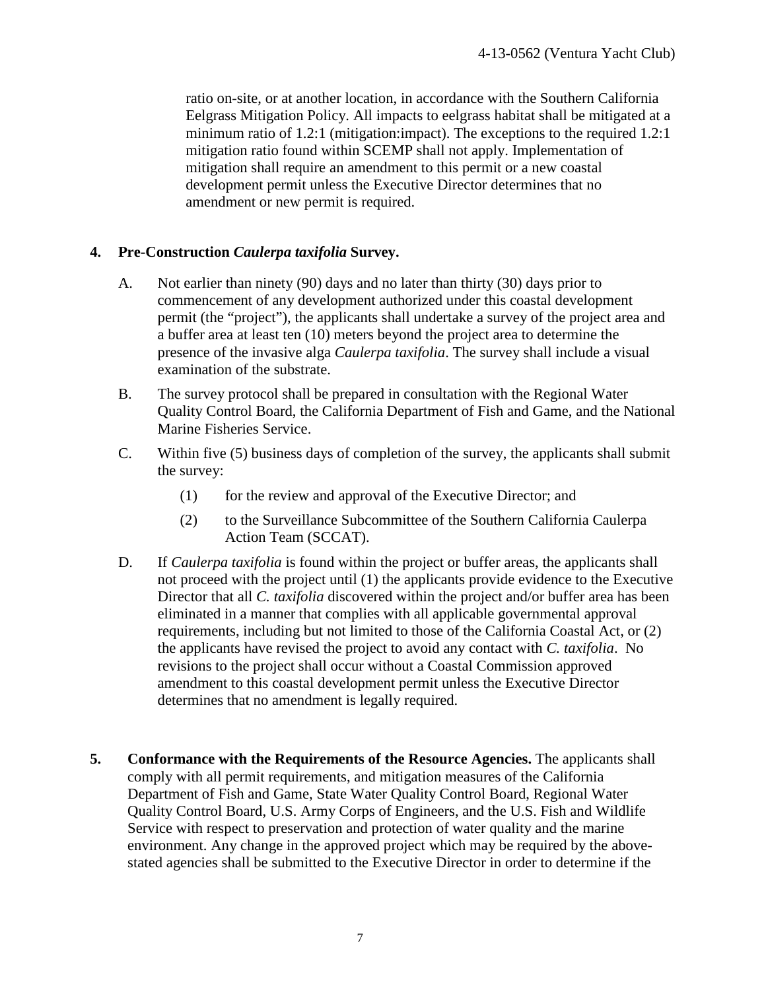ratio on-site, or at another location, in accordance with the Southern California Eelgrass Mitigation Policy. All impacts to eelgrass habitat shall be mitigated at a minimum ratio of 1.2:1 (mitigation: impact). The exceptions to the required 1.2:1 mitigation ratio found within SCEMP shall not apply. Implementation of mitigation shall require an amendment to this permit or a new coastal development permit unless the Executive Director determines that no amendment or new permit is required.

#### **4. Pre-Construction** *Caulerpa taxifolia* **Survey.**

- A. Not earlier than ninety (90) days and no later than thirty (30) days prior to commencement of any development authorized under this coastal development permit (the "project"), the applicants shall undertake a survey of the project area and a buffer area at least ten (10) meters beyond the project area to determine the presence of the invasive alga *Caulerpa taxifolia*. The survey shall include a visual examination of the substrate.
- B. The survey protocol shall be prepared in consultation with the Regional Water Quality Control Board, the California Department of Fish and Game, and the National Marine Fisheries Service.
- C. Within five (5) business days of completion of the survey, the applicants shall submit the survey:
	- (1) for the review and approval of the Executive Director; and
	- (2) to the Surveillance Subcommittee of the Southern California Caulerpa Action Team (SCCAT).
- D. If *Caulerpa taxifolia* is found within the project or buffer areas, the applicants shall not proceed with the project until (1) the applicants provide evidence to the Executive Director that all *C. taxifolia* discovered within the project and/or buffer area has been eliminated in a manner that complies with all applicable governmental approval requirements, including but not limited to those of the California Coastal Act, or (2) the applicants have revised the project to avoid any contact with *C. taxifolia*. No revisions to the project shall occur without a Coastal Commission approved amendment to this coastal development permit unless the Executive Director determines that no amendment is legally required.
- **5. Conformance with the Requirements of the Resource Agencies.** The applicants shall comply with all permit requirements, and mitigation measures of the California Department of Fish and Game, State Water Quality Control Board, Regional Water Quality Control Board, U.S. Army Corps of Engineers, and the U.S. Fish and Wildlife Service with respect to preservation and protection of water quality and the marine environment. Any change in the approved project which may be required by the abovestated agencies shall be submitted to the Executive Director in order to determine if the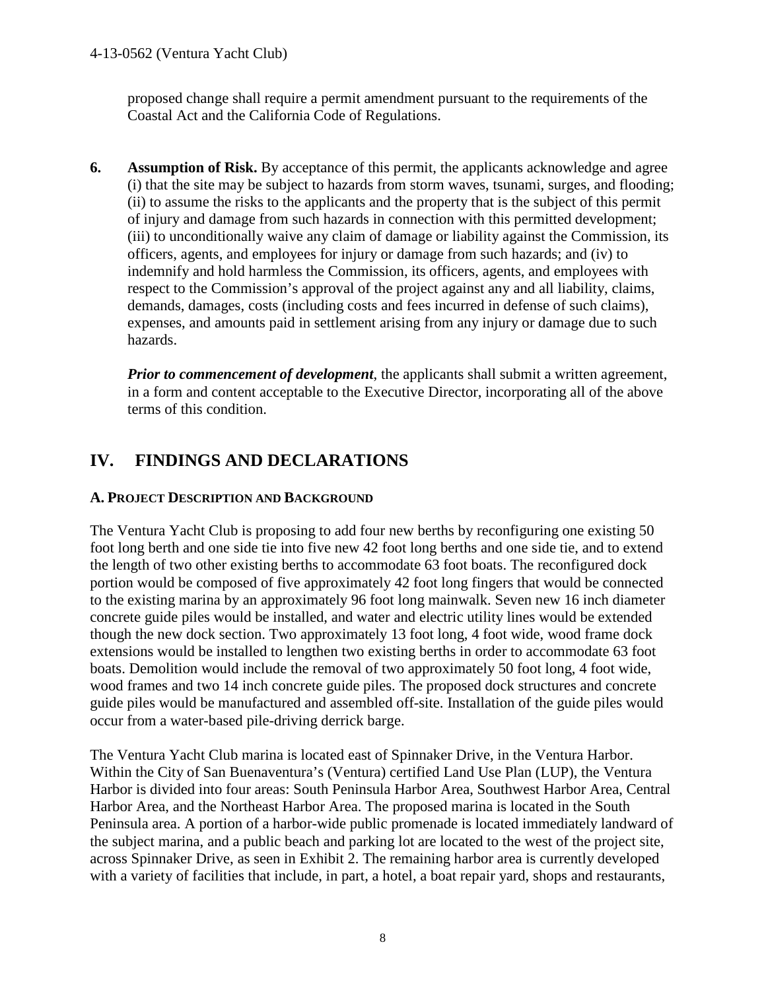proposed change shall require a permit amendment pursuant to the requirements of the Coastal Act and the California Code of Regulations.

**6.** Assumption of Risk. By acceptance of this permit, the applicants acknowledge and agree (i) that the site may be subject to hazards from storm waves, tsunami, surges, and flooding; (ii) to assume the risks to the applicants and the property that is the subject of this permit of injury and damage from such hazards in connection with this permitted development; (iii) to unconditionally waive any claim of damage or liability against the Commission, its officers, agents, and employees for injury or damage from such hazards; and (iv) to indemnify and hold harmless the Commission, its officers, agents, and employees with respect to the Commission's approval of the project against any and all liability, claims, demands, damages, costs (including costs and fees incurred in defense of such claims), expenses, and amounts paid in settlement arising from any injury or damage due to such hazards.

*Prior to commencement of development*, the applicants shall submit a written agreement, in a form and content acceptable to the Executive Director, incorporating all of the above terms of this condition.

## **IV. FINDINGS AND DECLARATIONS**

#### **A. PROJECT DESCRIPTION AND BACKGROUND**

The Ventura Yacht Club is proposing to add four new berths by reconfiguring one existing 50 foot long berth and one side tie into five new 42 foot long berths and one side tie, and to extend the length of two other existing berths to accommodate 63 foot boats. The reconfigured dock portion would be composed of five approximately 42 foot long fingers that would be connected to the existing marina by an approximately 96 foot long mainwalk. Seven new 16 inch diameter concrete guide piles would be installed, and water and electric utility lines would be extended though the new dock section. Two approximately 13 foot long, 4 foot wide, wood frame dock extensions would be installed to lengthen two existing berths in order to accommodate 63 foot boats. Demolition would include the removal of two approximately 50 foot long, 4 foot wide, wood frames and two 14 inch concrete guide piles. The proposed dock structures and concrete guide piles would be manufactured and assembled off-site. Installation of the guide piles would occur from a water-based pile-driving derrick barge.

The Ventura Yacht Club marina is located east of Spinnaker Drive, in the Ventura Harbor. Within the City of San Buenaventura's (Ventura) certified Land Use Plan (LUP), the Ventura Harbor is divided into four areas: South Peninsula Harbor Area, Southwest Harbor Area, Central Harbor Area, and the Northeast Harbor Area. The proposed marina is located in the South Peninsula area. A portion of a harbor-wide public promenade is located immediately landward of the subject marina, and a public beach and parking lot are located to the west of the project site, across Spinnaker Drive, as seen in Exhibit 2. The remaining harbor area is currently developed with a variety of facilities that include, in part, a hotel, a boat repair yard, shops and restaurants,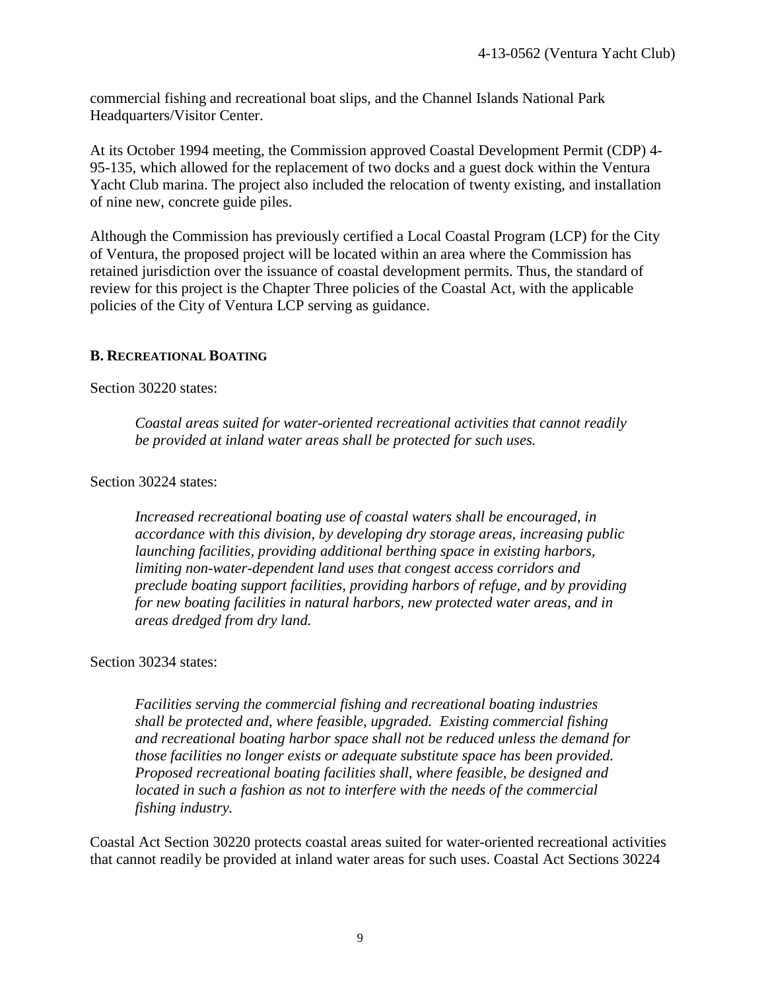commercial fishing and recreational boat slips, and the Channel Islands National Park Headquarters/Visitor Center.

At its October 1994 meeting, the Commission approved Coastal Development Permit (CDP) 4- 95-135, which allowed for the replacement of two docks and a guest dock within the Ventura Yacht Club marina. The project also included the relocation of twenty existing, and installation of nine new, concrete guide piles.

Although the Commission has previously certified a Local Coastal Program (LCP) for the City of Ventura, the proposed project will be located within an area where the Commission has retained jurisdiction over the issuance of coastal development permits. Thus, the standard of review for this project is the Chapter Three policies of the Coastal Act, with the applicable policies of the City of Ventura LCP serving as guidance.

#### **B. RECREATIONAL BOATING**

Section 30220 states:

*Coastal areas suited for water-oriented recreational activities that cannot readily be provided at inland water areas shall be protected for such uses.* 

Section 30224 states:

*Increased recreational boating use of coastal waters shall be encouraged, in accordance with this division, by developing dry storage areas, increasing public launching facilities, providing additional berthing space in existing harbors, limiting non-water-dependent land uses that congest access corridors and preclude boating support facilities, providing harbors of refuge, and by providing for new boating facilities in natural harbors, new protected water areas, and in areas dredged from dry land.* 

#### Section 30234 states:

*Facilities serving the commercial fishing and recreational boating industries shall be protected and, where feasible, upgraded. Existing commercial fishing and recreational boating harbor space shall not be reduced unless the demand for those facilities no longer exists or adequate substitute space has been provided. Proposed recreational boating facilities shall, where feasible, be designed and located in such a fashion as not to interfere with the needs of the commercial fishing industry.* 

Coastal Act Section 30220 protects coastal areas suited for water-oriented recreational activities that cannot readily be provided at inland water areas for such uses. Coastal Act Sections 30224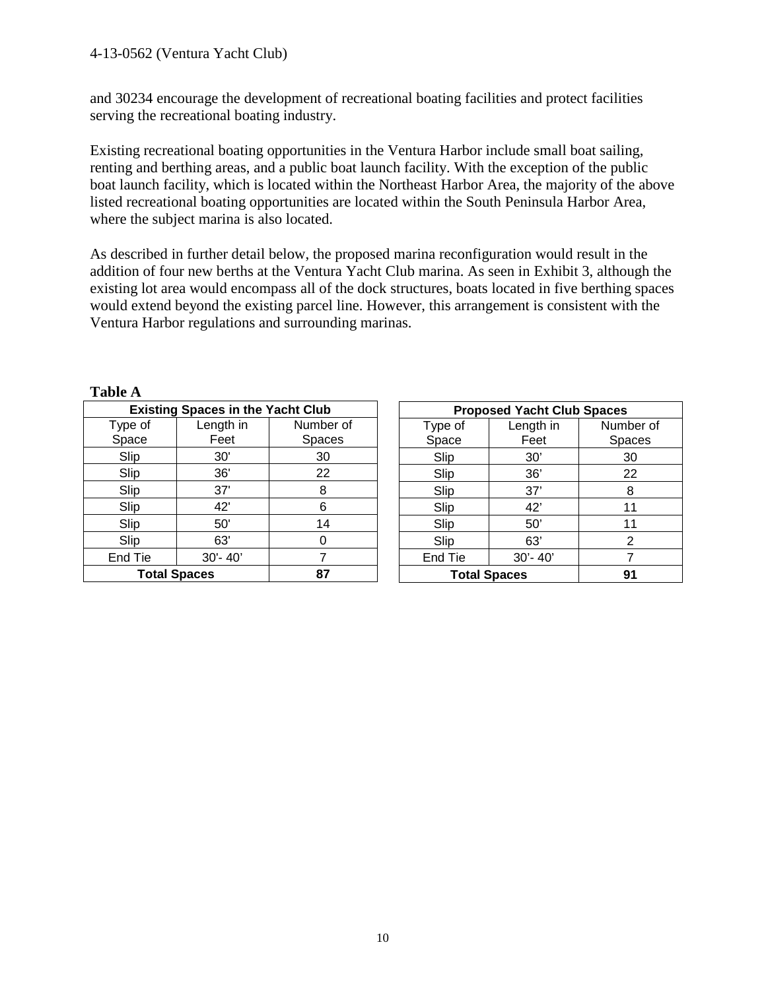and 30234 encourage the development of recreational boating facilities and protect facilities serving the recreational boating industry.

Existing recreational boating opportunities in the Ventura Harbor include small boat sailing, renting and berthing areas, and a public boat launch facility. With the exception of the public boat launch facility, which is located within the Northeast Harbor Area, the majority of the above listed recreational boating opportunities are located within the South Peninsula Harbor Area, where the subject marina is also located.

As described in further detail below, the proposed marina reconfiguration would result in the addition of four new berths at the Ventura Yacht Club marina. As seen in Exhibit 3, although the existing lot area would encompass all of the dock structures, boats located in five berthing spaces would extend beyond the existing parcel line. However, this arrangement is consistent with the Ventura Harbor regulations and surrounding marinas.

| 1 UIJIV 11                               |             |           |  |
|------------------------------------------|-------------|-----------|--|
| <b>Existing Spaces in the Yacht Club</b> |             |           |  |
| Type of                                  | Length in   | Number of |  |
| Space                                    | Feet        | Spaces    |  |
| Slip                                     | 30'         | 30        |  |
| Slip                                     | 36'         | 22        |  |
| Slip                                     | 37'         | 8         |  |
| Slip                                     | 42'         | 6         |  |
| Slip                                     | 50'         | 14        |  |
| Slip                                     | 63'         |           |  |
| End Tie                                  | $30' - 40'$ |           |  |
| <b>Total Spaces</b>                      |             | 87        |  |

| <b>Proposed Yacht Club Spaces</b> |             |           |  |
|-----------------------------------|-------------|-----------|--|
| Type of                           | Length in   | Number of |  |
| Space                             | Feet        | Spaces    |  |
| Slip                              | 30'         | 30        |  |
| Slip                              | 36'         | 22        |  |
| Slip                              | 37'         | 8         |  |
| Slip                              | 42'         | 11        |  |
| Slip                              | 50'         | 11        |  |
| Slip                              | 63'         | 2         |  |
| End Tie                           | $30' - 40'$ |           |  |
| <b>Total Spaces</b>               |             | 91        |  |

**Table A**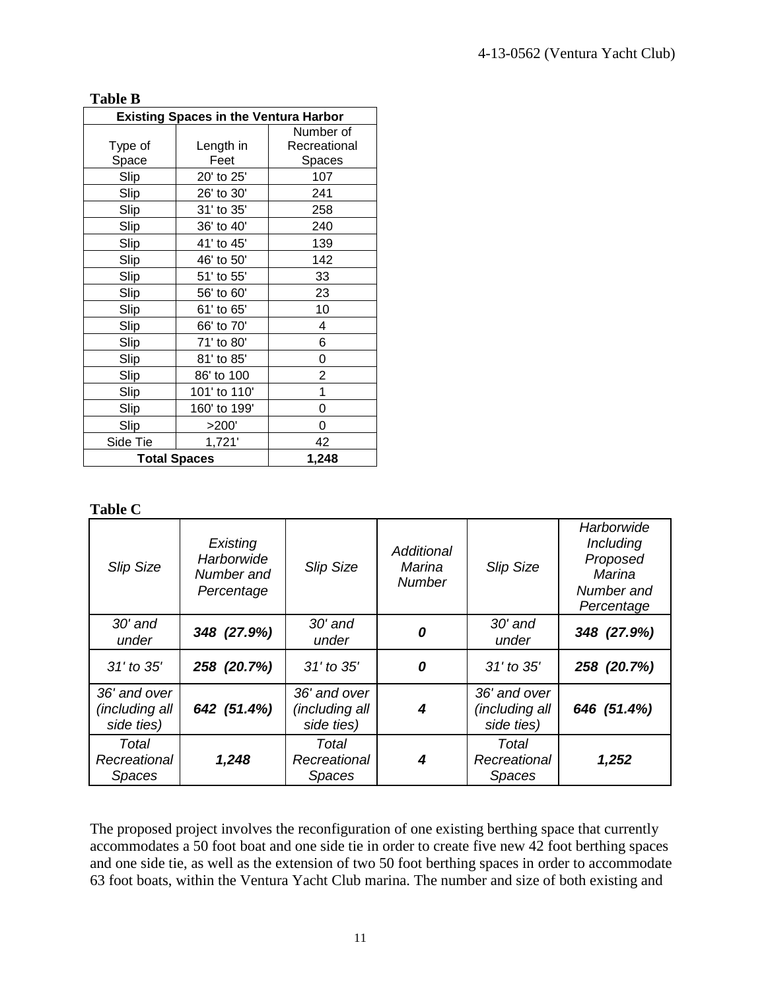| <b>Table B</b>                               |              |              |  |
|----------------------------------------------|--------------|--------------|--|
| <b>Existing Spaces in the Ventura Harbor</b> |              |              |  |
|                                              |              | Number of    |  |
| Type of                                      | Length in    | Recreational |  |
| Space                                        | Feet         | Spaces       |  |
| Slip                                         | 20' to 25'   | 107          |  |
| Slip                                         | 26' to 30'   | 241          |  |
| Slip                                         | 31' to 35'   | 258          |  |
| Slip                                         | 36' to 40'   | 240          |  |
| Slip                                         | 41' to 45'   | 139          |  |
| Slip                                         | 46' to 50'   | 142          |  |
| Slip                                         | 51' to 55'   | 33           |  |
| Slip                                         | 56' to 60'   | 23           |  |
| Slip                                         | 61' to 65'   | 10           |  |
| Slip                                         | 66' to 70'   | 4            |  |
| Slip                                         | 71' to 80'   | 6            |  |
| Slip                                         | 81' to 85'   | 0            |  |
| Slip                                         | 86' to 100   | 2            |  |
| Slip                                         | 101' to 110' | 1            |  |
| Slip                                         | 160' to 199' | 0            |  |
| Slip                                         | >200'        | 0            |  |
| Side Tie                                     | 1,721'       | 42           |  |
| <b>Total Spaces</b>                          |              | 1,248        |  |

#### **Table C**

| <b>Slip Size</b>                             | Existing<br>Harborwide<br>Number and<br>Percentage | <b>Slip Size</b>                             | Additional<br>Marina<br><b>Number</b> | <b>Slip Size</b>                             | Harborwide<br>Including<br>Proposed<br>Marina<br>Number and<br>Percentage |
|----------------------------------------------|----------------------------------------------------|----------------------------------------------|---------------------------------------|----------------------------------------------|---------------------------------------------------------------------------|
| $30'$ and<br>under                           | 348 (27.9%)                                        | $30'$ and<br>under                           | 0                                     | $30'$ and<br>under                           | 348 (27.9%)                                                               |
| 31' to 35'                                   | 258 (20.7%)                                        | 31' to 35'                                   | 0                                     | 31' to 35'                                   | 258 (20.7%)                                                               |
| 36' and over<br>(including all<br>side ties) | 642 (51.4%)                                        | 36' and over<br>(including all<br>side ties) | 4                                     | 36' and over<br>(including all<br>side ties) | 646 (51.4%)                                                               |
| Total<br>Recreational<br><b>Spaces</b>       | 1,248                                              | Total<br>Recreational<br><b>Spaces</b>       | 4                                     | Total<br>Recreational<br><b>Spaces</b>       | 1,252                                                                     |

The proposed project involves the reconfiguration of one existing berthing space that currently accommodates a 50 foot boat and one side tie in order to create five new 42 foot berthing spaces and one side tie, as well as the extension of two 50 foot berthing spaces in order to accommodate 63 foot boats, within the Ventura Yacht Club marina. The number and size of both existing and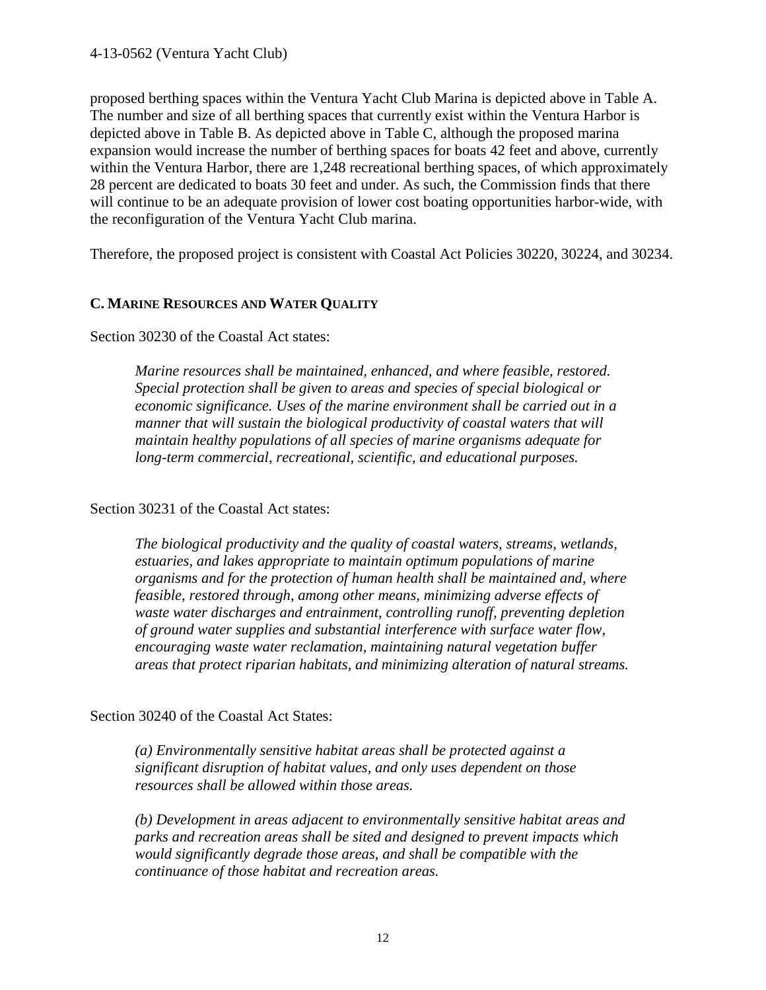proposed berthing spaces within the Ventura Yacht Club Marina is depicted above in Table A. The number and size of all berthing spaces that currently exist within the Ventura Harbor is depicted above in Table B. As depicted above in Table C, although the proposed marina expansion would increase the number of berthing spaces for boats 42 feet and above, currently within the Ventura Harbor, there are 1,248 recreational berthing spaces, of which approximately 28 percent are dedicated to boats 30 feet and under. As such, the Commission finds that there will continue to be an adequate provision of lower cost boating opportunities harbor-wide, with the reconfiguration of the Ventura Yacht Club marina.

Therefore, the proposed project is consistent with Coastal Act Policies 30220, 30224, and 30234.

#### **C. MARINE RESOURCES AND WATER QUALITY**

Section 30230 of the Coastal Act states:

*Marine resources shall be maintained, enhanced, and where feasible, restored. Special protection shall be given to areas and species of special biological or economic significance. Uses of the marine environment shall be carried out in a manner that will sustain the biological productivity of coastal waters that will maintain healthy populations of all species of marine organisms adequate for long-term commercial, recreational, scientific, and educational purposes.* 

Section 30231 of the Coastal Act states:

*The biological productivity and the quality of coastal waters, streams, wetlands, estuaries, and lakes appropriate to maintain optimum populations of marine organisms and for the protection of human health shall be maintained and, where feasible, restored through, among other means, minimizing adverse effects of waste water discharges and entrainment, controlling runoff, preventing depletion of ground water supplies and substantial interference with surface water flow, encouraging waste water reclamation, maintaining natural vegetation buffer areas that protect riparian habitats, and minimizing alteration of natural streams.* 

Section 30240 of the Coastal Act States:

*(a) Environmentally sensitive habitat areas shall be protected against a significant disruption of habitat values, and only uses dependent on those resources shall be allowed within those areas.* 

*(b) Development in areas adjacent to environmentally sensitive habitat areas and parks and recreation areas shall be sited and designed to prevent impacts which would significantly degrade those areas, and shall be compatible with the continuance of those habitat and recreation areas.*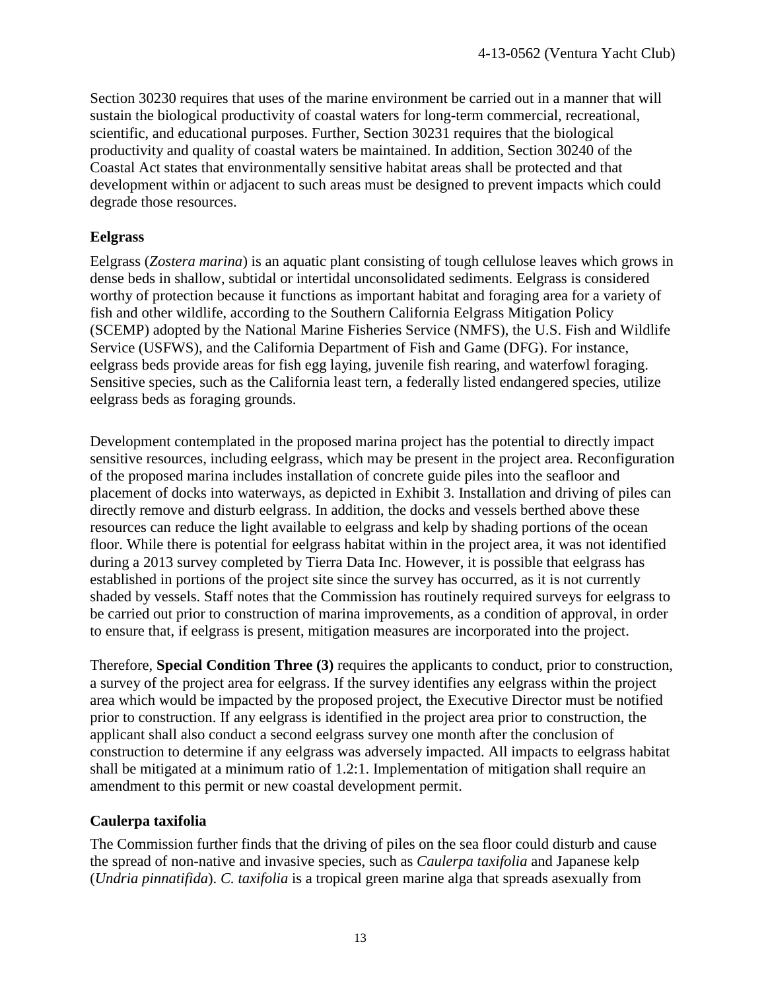Section 30230 requires that uses of the marine environment be carried out in a manner that will sustain the biological productivity of coastal waters for long-term commercial, recreational, scientific, and educational purposes. Further, Section 30231 requires that the biological productivity and quality of coastal waters be maintained. In addition, Section 30240 of the Coastal Act states that environmentally sensitive habitat areas shall be protected and that development within or adjacent to such areas must be designed to prevent impacts which could degrade those resources.

#### **Eelgrass**

Eelgrass (*Zostera marina*) is an aquatic plant consisting of tough cellulose leaves which grows in dense beds in shallow, subtidal or intertidal unconsolidated sediments. Eelgrass is considered worthy of protection because it functions as important habitat and foraging area for a variety of fish and other wildlife, according to the Southern California Eelgrass Mitigation Policy (SCEMP) adopted by the National Marine Fisheries Service (NMFS), the U.S. Fish and Wildlife Service (USFWS), and the California Department of Fish and Game (DFG). For instance, eelgrass beds provide areas for fish egg laying, juvenile fish rearing, and waterfowl foraging. Sensitive species, such as the California least tern, a federally listed endangered species, utilize eelgrass beds as foraging grounds.

Development contemplated in the proposed marina project has the potential to directly impact sensitive resources, including eelgrass, which may be present in the project area. Reconfiguration of the proposed marina includes installation of concrete guide piles into the seafloor and placement of docks into waterways, as depicted in Exhibit 3. Installation and driving of piles can directly remove and disturb eelgrass. In addition, the docks and vessels berthed above these resources can reduce the light available to eelgrass and kelp by shading portions of the ocean floor. While there is potential for eelgrass habitat within in the project area, it was not identified during a 2013 survey completed by Tierra Data Inc. However, it is possible that eelgrass has established in portions of the project site since the survey has occurred, as it is not currently shaded by vessels. Staff notes that the Commission has routinely required surveys for eelgrass to be carried out prior to construction of marina improvements, as a condition of approval, in order to ensure that, if eelgrass is present, mitigation measures are incorporated into the project.

Therefore, **Special Condition Three (3)** requires the applicants to conduct, prior to construction, a survey of the project area for eelgrass. If the survey identifies any eelgrass within the project area which would be impacted by the proposed project, the Executive Director must be notified prior to construction. If any eelgrass is identified in the project area prior to construction, the applicant shall also conduct a second eelgrass survey one month after the conclusion of construction to determine if any eelgrass was adversely impacted. All impacts to eelgrass habitat shall be mitigated at a minimum ratio of 1.2:1. Implementation of mitigation shall require an amendment to this permit or new coastal development permit.

#### **Caulerpa taxifolia**

The Commission further finds that the driving of piles on the sea floor could disturb and cause the spread of non-native and invasive species, such as *Caulerpa taxifolia* and Japanese kelp (*Undria pinnatifida*). *C. taxifolia* is a tropical green marine alga that spreads asexually from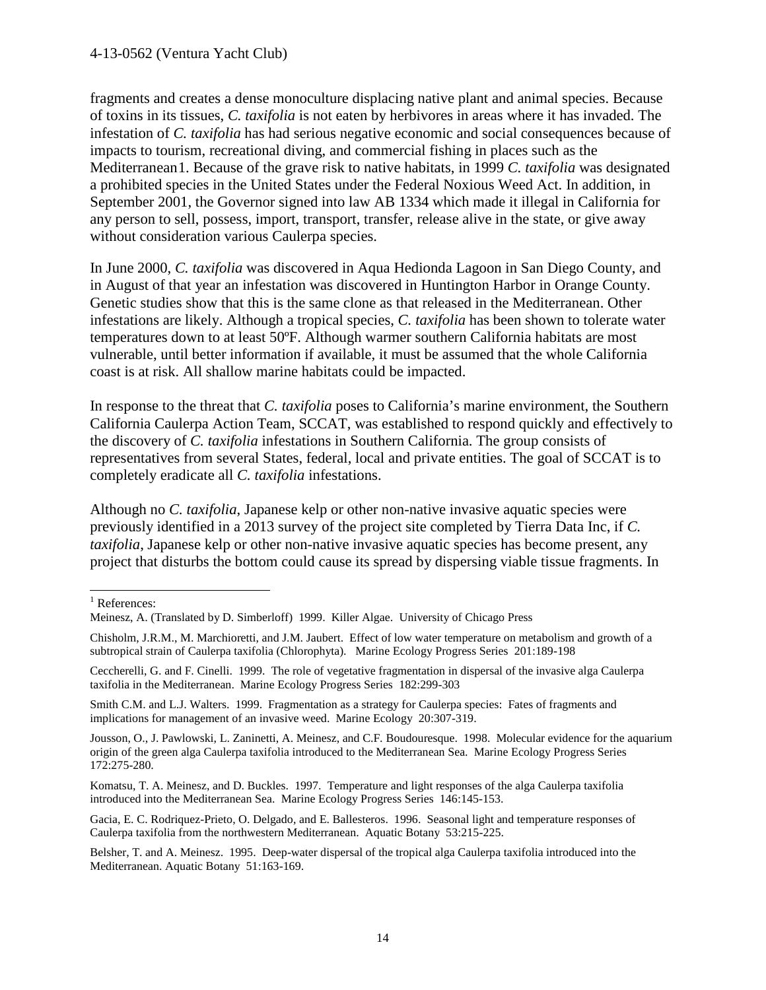#### 4-13-0562 (Ventura Yacht Club)

fragments and creates a dense monoculture displacing native plant and animal species. Because of toxins in its tissues, *C. taxifolia* is not eaten by herbivores in areas where it has invaded. The infestation of *C. taxifolia* has had serious negative economic and social consequences because of impacts to tourism, recreational diving, and commercial fishing in places such as the Mediterranean[1](#page-15-0). Because of the grave risk to native habitats, in 1999 *C. taxifolia* was designated a prohibited species in the United States under the Federal Noxious Weed Act. In addition, in September 2001, the Governor signed into law AB 1334 which made it illegal in California for any person to sell, possess, import, transport, transfer, release alive in the state, or give away without consideration various Caulerpa species.

In June 2000, *C. taxifolia* was discovered in Aqua Hedionda Lagoon in San Diego County, and in August of that year an infestation was discovered in Huntington Harbor in Orange County. Genetic studies show that this is the same clone as that released in the Mediterranean. Other infestations are likely. Although a tropical species, *C. taxifolia* has been shown to tolerate water temperatures down to at least 50ºF. Although warmer southern California habitats are most vulnerable, until better information if available, it must be assumed that the whole California coast is at risk. All shallow marine habitats could be impacted.

In response to the threat that *C. taxifolia* poses to California's marine environment, the Southern California Caulerpa Action Team, SCCAT, was established to respond quickly and effectively to the discovery of *C. taxifolia* infestations in Southern California. The group consists of representatives from several States, federal, local and private entities. The goal of SCCAT is to completely eradicate all *C. taxifolia* infestations.

Although no *C. taxifolia*, Japanese kelp or other non-native invasive aquatic species were previously identified in a 2013 survey of the project site completed by Tierra Data Inc, if *C. taxifolia*, Japanese kelp or other non-native invasive aquatic species has become present, any project that disturbs the bottom could cause its spread by dispersing viable tissue fragments. In

Gacia, E. C. Rodriquez-Prieto, O. Delgado, and E. Ballesteros. 1996. Seasonal light and temperature responses of Caulerpa taxifolia from the northwestern Mediterranean. Aquatic Botany 53:215-225.

<span id="page-15-0"></span> $\overline{a}$ <sup>1</sup> References:

Meinesz, A. (Translated by D. Simberloff) 1999. Killer Algae. University of Chicago Press

Chisholm, J.R.M., M. Marchioretti, and J.M. Jaubert. Effect of low water temperature on metabolism and growth of a subtropical strain of Caulerpa taxifolia (Chlorophyta). Marine Ecology Progress Series 201:189-198

Ceccherelli, G. and F. Cinelli. 1999. The role of vegetative fragmentation in dispersal of the invasive alga Caulerpa taxifolia in the Mediterranean. Marine Ecology Progress Series 182:299-303

Smith C.M. and L.J. Walters. 1999. Fragmentation as a strategy for Caulerpa species: Fates of fragments and implications for management of an invasive weed. Marine Ecology 20:307-319.

Jousson, O., J. Pawlowski, L. Zaninetti, A. Meinesz, and C.F. Boudouresque. 1998. Molecular evidence for the aquarium origin of the green alga Caulerpa taxifolia introduced to the Mediterranean Sea. Marine Ecology Progress Series 172:275-280.

Komatsu, T. A. Meinesz, and D. Buckles. 1997. Temperature and light responses of the alga Caulerpa taxifolia introduced into the Mediterranean Sea. Marine Ecology Progress Series 146:145-153.

Belsher, T. and A. Meinesz. 1995. Deep-water dispersal of the tropical alga Caulerpa taxifolia introduced into the Mediterranean. Aquatic Botany 51:163-169.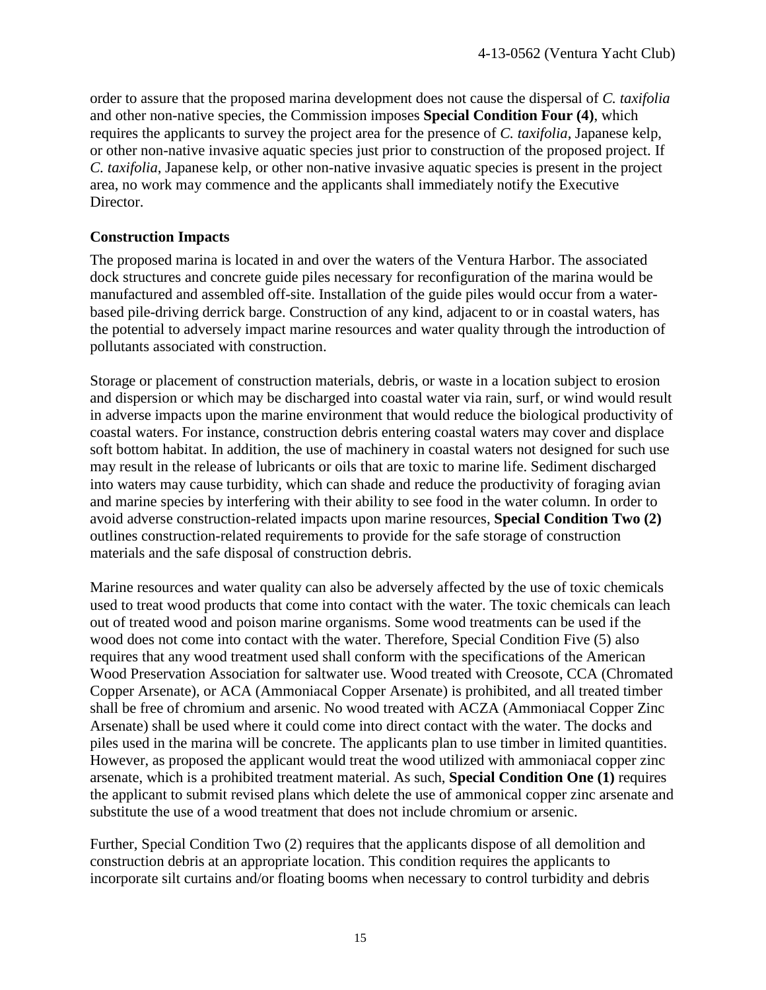order to assure that the proposed marina development does not cause the dispersal of *C. taxifolia* and other non-native species, the Commission imposes **Special Condition Four (4)**, which requires the applicants to survey the project area for the presence of *C. taxifolia*, Japanese kelp, or other non-native invasive aquatic species just prior to construction of the proposed project. If *C. taxifolia*, Japanese kelp, or other non-native invasive aquatic species is present in the project area, no work may commence and the applicants shall immediately notify the Executive Director.

#### **Construction Impacts**

The proposed marina is located in and over the waters of the Ventura Harbor. The associated dock structures and concrete guide piles necessary for reconfiguration of the marina would be manufactured and assembled off-site. Installation of the guide piles would occur from a waterbased pile-driving derrick barge. Construction of any kind, adjacent to or in coastal waters, has the potential to adversely impact marine resources and water quality through the introduction of pollutants associated with construction.

Storage or placement of construction materials, debris, or waste in a location subject to erosion and dispersion or which may be discharged into coastal water via rain, surf, or wind would result in adverse impacts upon the marine environment that would reduce the biological productivity of coastal waters. For instance, construction debris entering coastal waters may cover and displace soft bottom habitat. In addition, the use of machinery in coastal waters not designed for such use may result in the release of lubricants or oils that are toxic to marine life. Sediment discharged into waters may cause turbidity, which can shade and reduce the productivity of foraging avian and marine species by interfering with their ability to see food in the water column. In order to avoid adverse construction-related impacts upon marine resources, **Special Condition Two (2)** outlines construction-related requirements to provide for the safe storage of construction materials and the safe disposal of construction debris.

Marine resources and water quality can also be adversely affected by the use of toxic chemicals used to treat wood products that come into contact with the water. The toxic chemicals can leach out of treated wood and poison marine organisms. Some wood treatments can be used if the wood does not come into contact with the water. Therefore, Special Condition Five (5) also requires that any wood treatment used shall conform with the specifications of the American Wood Preservation Association for saltwater use. Wood treated with Creosote, CCA (Chromated Copper Arsenate), or ACA (Ammoniacal Copper Arsenate) is prohibited, and all treated timber shall be free of chromium and arsenic. No wood treated with ACZA (Ammoniacal Copper Zinc Arsenate) shall be used where it could come into direct contact with the water. The docks and piles used in the marina will be concrete. The applicants plan to use timber in limited quantities. However, as proposed the applicant would treat the wood utilized with ammoniacal copper zinc arsenate, which is a prohibited treatment material. As such, **Special Condition One (1)** requires the applicant to submit revised plans which delete the use of ammonical copper zinc arsenate and substitute the use of a wood treatment that does not include chromium or arsenic.

Further, Special Condition Two (2) requires that the applicants dispose of all demolition and construction debris at an appropriate location. This condition requires the applicants to incorporate silt curtains and/or floating booms when necessary to control turbidity and debris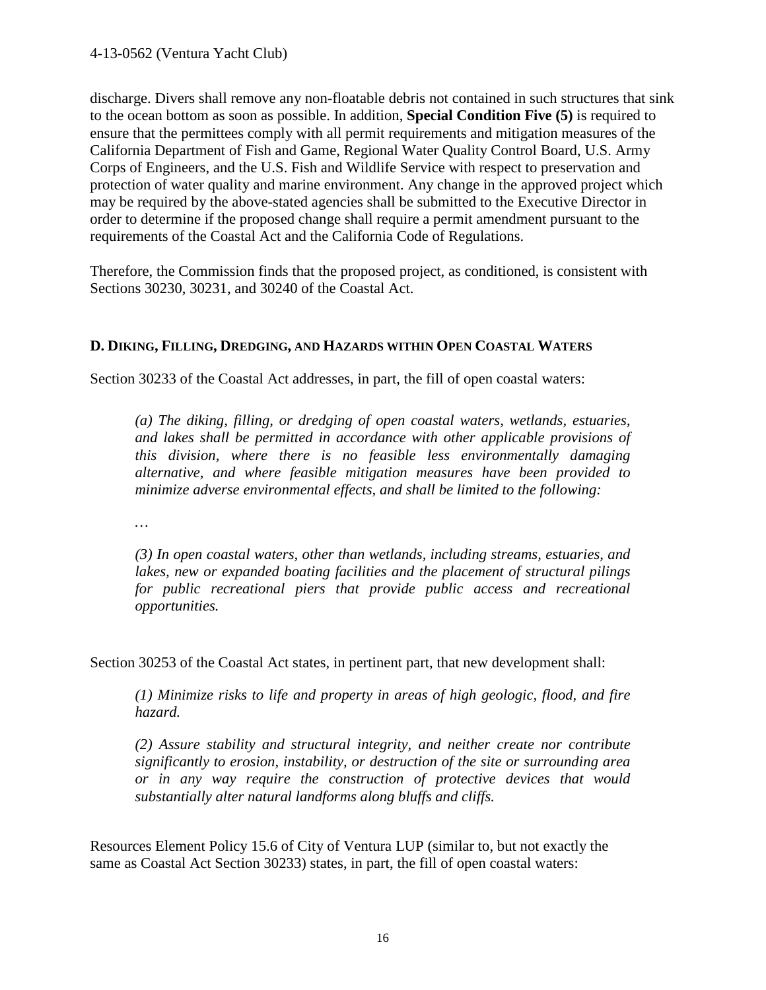discharge. Divers shall remove any non-floatable debris not contained in such structures that sink to the ocean bottom as soon as possible. In addition, **Special Condition Five (5)** is required to ensure that the permittees comply with all permit requirements and mitigation measures of the California Department of Fish and Game, Regional Water Quality Control Board, U.S. Army Corps of Engineers, and the U.S. Fish and Wildlife Service with respect to preservation and protection of water quality and marine environment. Any change in the approved project which may be required by the above-stated agencies shall be submitted to the Executive Director in order to determine if the proposed change shall require a permit amendment pursuant to the requirements of the Coastal Act and the California Code of Regulations.

Therefore, the Commission finds that the proposed project, as conditioned, is consistent with Sections 30230, 30231, and 30240 of the Coastal Act.

#### **D. DIKING, FILLING, DREDGING, AND HAZARDS WITHIN OPEN COASTAL WATERS**

Section 30233 of the Coastal Act addresses, in part, the fill of open coastal waters:

*(a) The diking, filling, or dredging of open coastal waters, wetlands, estuaries, and lakes shall be permitted in accordance with other applicable provisions of this division, where there is no feasible less environmentally damaging alternative, and where feasible mitigation measures have been provided to minimize adverse environmental effects, and shall be limited to the following:* 

*…* 

*(3) In open coastal waters, other than wetlands, including streams, estuaries, and lakes, new or expanded boating facilities and the placement of structural pilings*  for public recreational piers that provide public access and recreational *opportunities.* 

Section 30253 of the Coastal Act states, in pertinent part, that new development shall:

*(1) Minimize risks to life and property in areas of high geologic, flood, and fire hazard.* 

*(2) Assure stability and structural integrity, and neither create nor contribute significantly to erosion, instability, or destruction of the site or surrounding area or in any way require the construction of protective devices that would substantially alter natural landforms along bluffs and cliffs.* 

Resources Element Policy 15.6 of City of Ventura LUP (similar to, but not exactly the same as Coastal Act Section 30233) states, in part, the fill of open coastal waters: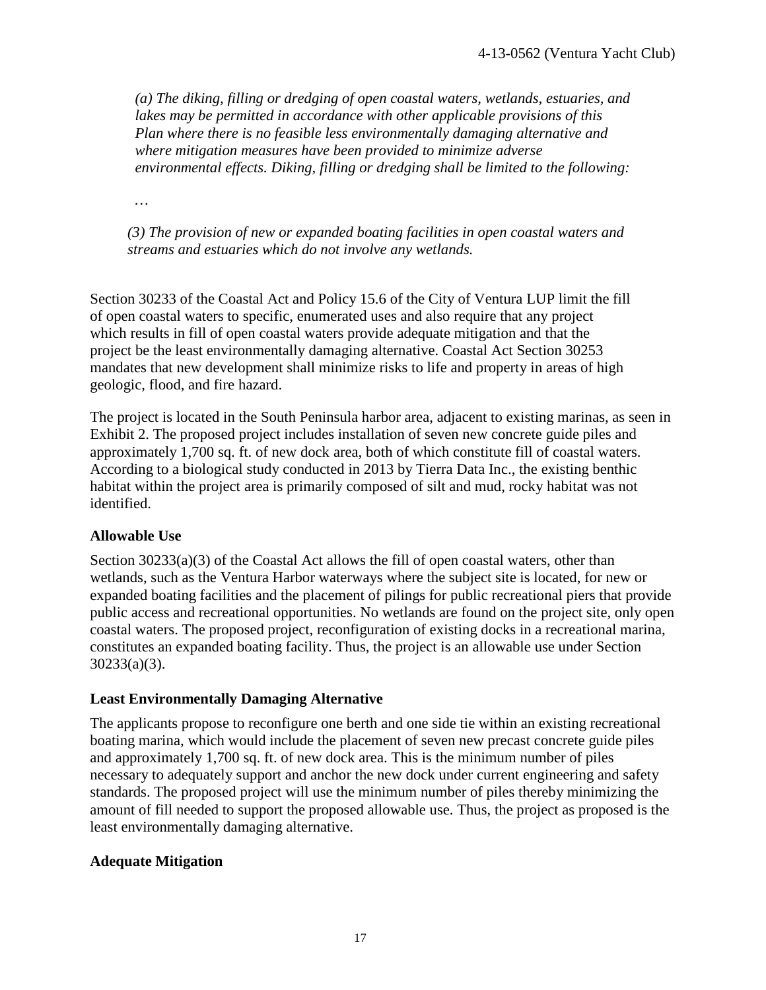*(a) The diking, filling or dredging of open coastal waters, wetlands, estuaries, and lakes may be permitted in accordance with other applicable provisions of this Plan where there is no feasible less environmentally damaging alternative and where mitigation measures have been provided to minimize adverse environmental effects. Diking, filling or dredging shall be limited to the following:* 

*…* 

*(3) The provision of new or expanded boating facilities in open coastal waters and streams and estuaries which do not involve any wetlands.*

Section 30233 of the Coastal Act and Policy 15.6 of the City of Ventura LUP limit the fill of open coastal waters to specific, enumerated uses and also require that any project which results in fill of open coastal waters provide adequate mitigation and that the project be the least environmentally damaging alternative. Coastal Act Section 30253 mandates that new development shall minimize risks to life and property in areas of high geologic, flood, and fire hazard.

The project is located in the South Peninsula harbor area, adjacent to existing marinas, as seen in Exhibit 2. The proposed project includes installation of seven new concrete guide piles and approximately 1,700 sq. ft. of new dock area, both of which constitute fill of coastal waters. According to a biological study conducted in 2013 by Tierra Data Inc., the existing benthic habitat within the project area is primarily composed of silt and mud, rocky habitat was not identified.

#### **Allowable Use**

Section  $30233(a)(3)$  of the Coastal Act allows the fill of open coastal waters, other than wetlands, such as the Ventura Harbor waterways where the subject site is located, for new or expanded boating facilities and the placement of pilings for public recreational piers that provide public access and recreational opportunities. No wetlands are found on the project site, only open coastal waters. The proposed project, reconfiguration of existing docks in a recreational marina, constitutes an expanded boating facility. Thus, the project is an allowable use under Section 30233(a)(3).

#### **Least Environmentally Damaging Alternative**

The applicants propose to reconfigure one berth and one side tie within an existing recreational boating marina, which would include the placement of seven new precast concrete guide piles and approximately 1,700 sq. ft. of new dock area. This is the minimum number of piles necessary to adequately support and anchor the new dock under current engineering and safety standards. The proposed project will use the minimum number of piles thereby minimizing the amount of fill needed to support the proposed allowable use. Thus, the project as proposed is the least environmentally damaging alternative.

#### **Adequate Mitigation**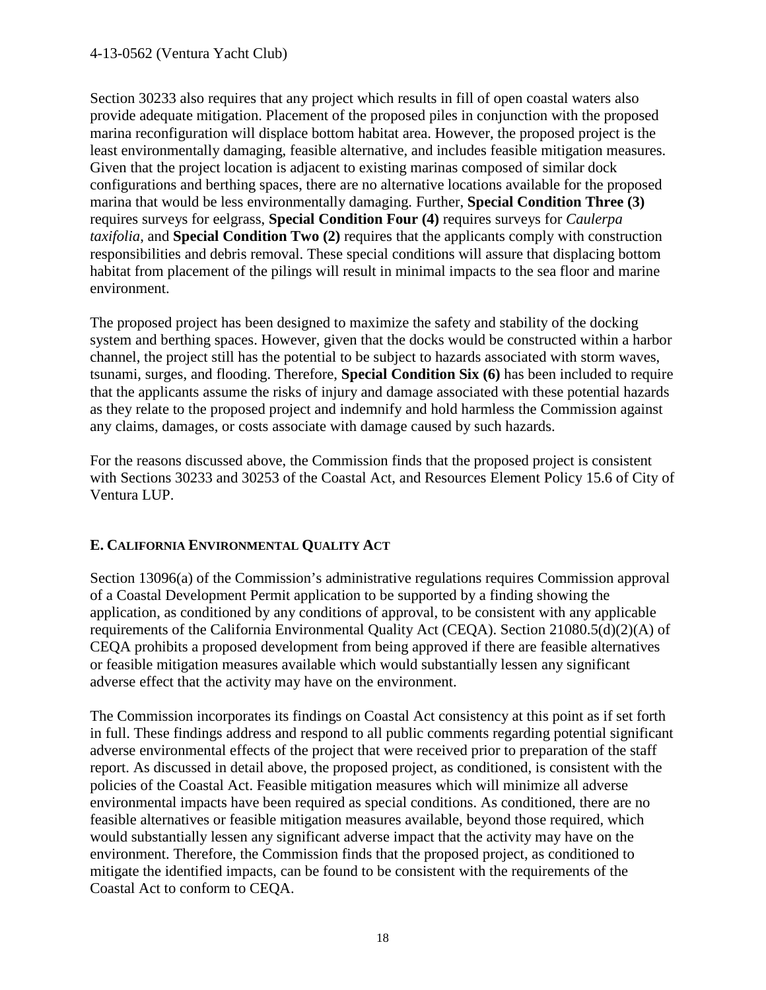Section 30233 also requires that any project which results in fill of open coastal waters also provide adequate mitigation. Placement of the proposed piles in conjunction with the proposed marina reconfiguration will displace bottom habitat area. However, the proposed project is the least environmentally damaging, feasible alternative, and includes feasible mitigation measures. Given that the project location is adjacent to existing marinas composed of similar dock configurations and berthing spaces, there are no alternative locations available for the proposed marina that would be less environmentally damaging. Further, **Special Condition Three (3)** requires surveys for eelgrass, **Special Condition Four (4)** requires surveys for *Caulerpa taxifolia*, and **Special Condition Two (2)** requires that the applicants comply with construction responsibilities and debris removal. These special conditions will assure that displacing bottom habitat from placement of the pilings will result in minimal impacts to the sea floor and marine environment.

The proposed project has been designed to maximize the safety and stability of the docking system and berthing spaces. However, given that the docks would be constructed within a harbor channel, the project still has the potential to be subject to hazards associated with storm waves, tsunami, surges, and flooding. Therefore, **Special Condition Six (6)** has been included to require that the applicants assume the risks of injury and damage associated with these potential hazards as they relate to the proposed project and indemnify and hold harmless the Commission against any claims, damages, or costs associate with damage caused by such hazards.

For the reasons discussed above, the Commission finds that the proposed project is consistent with Sections 30233 and 30253 of the Coastal Act, and Resources Element Policy 15.6 of City of Ventura LUP.

#### **E. CALIFORNIA ENVIRONMENTAL QUALITY ACT**

Section 13096(a) of the Commission's administrative regulations requires Commission approval of a Coastal Development Permit application to be supported by a finding showing the application, as conditioned by any conditions of approval, to be consistent with any applicable requirements of the California Environmental Quality Act (CEQA). Section 21080.5(d)(2)(A) of CEQA prohibits a proposed development from being approved if there are feasible alternatives or feasible mitigation measures available which would substantially lessen any significant adverse effect that the activity may have on the environment.

The Commission incorporates its findings on Coastal Act consistency at this point as if set forth in full. These findings address and respond to all public comments regarding potential significant adverse environmental effects of the project that were received prior to preparation of the staff report. As discussed in detail above, the proposed project, as conditioned, is consistent with the policies of the Coastal Act. Feasible mitigation measures which will minimize all adverse environmental impacts have been required as special conditions. As conditioned, there are no feasible alternatives or feasible mitigation measures available, beyond those required, which would substantially lessen any significant adverse impact that the activity may have on the environment. Therefore, the Commission finds that the proposed project, as conditioned to mitigate the identified impacts, can be found to be consistent with the requirements of the Coastal Act to conform to CEQA.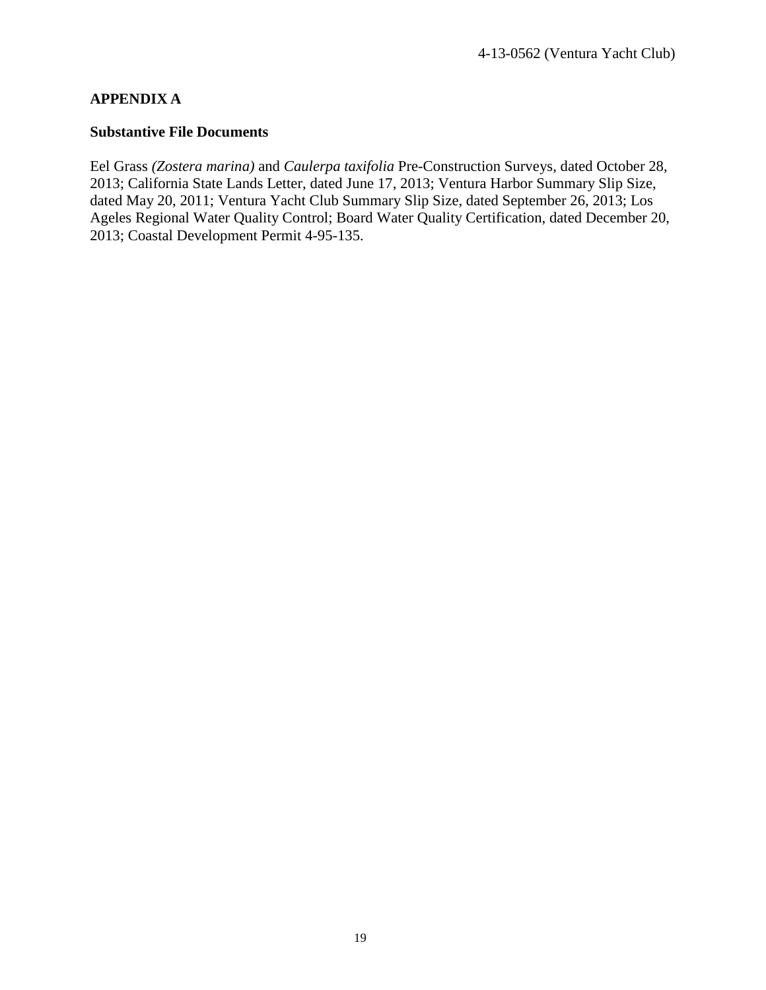#### **APPENDIX A**

#### **Substantive File Documents**

Eel Grass *(Zostera marina)* and *Caulerpa taxifolia* Pre-Construction Surveys, dated October 28, 2013; California State Lands Letter, dated June 17, 2013; Ventura Harbor Summary Slip Size, dated May 20, 2011; Ventura Yacht Club Summary Slip Size, dated September 26, 2013; Los Ageles Regional Water Quality Control; Board Water Quality Certification, dated December 20, 2013; Coastal Development Permit 4-95-135.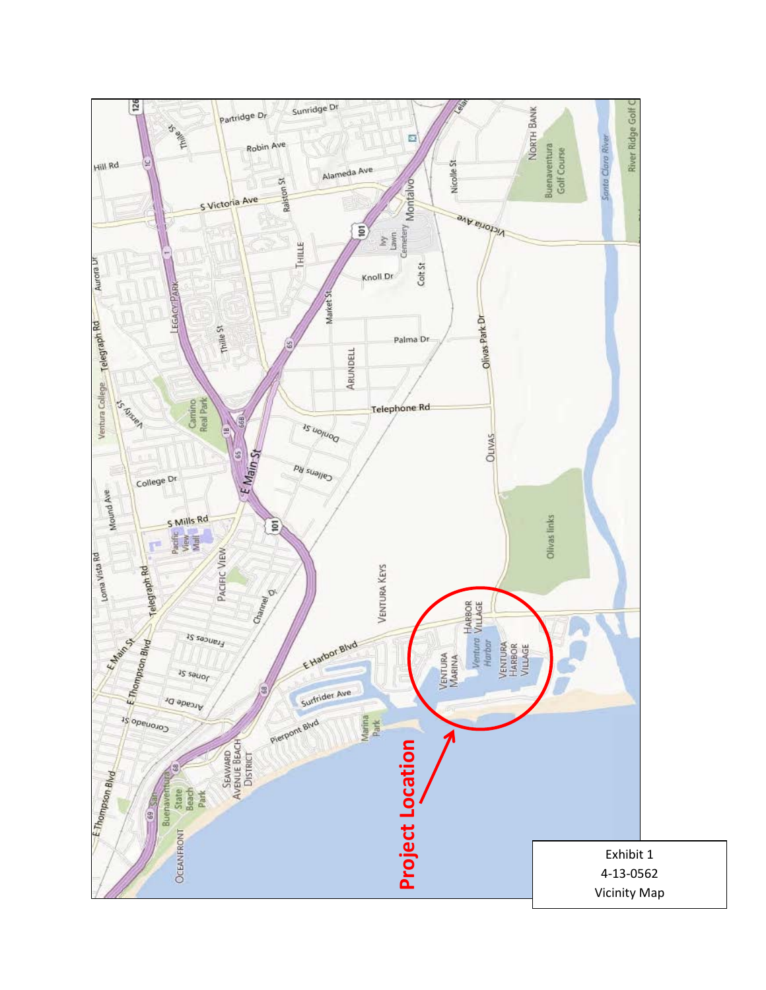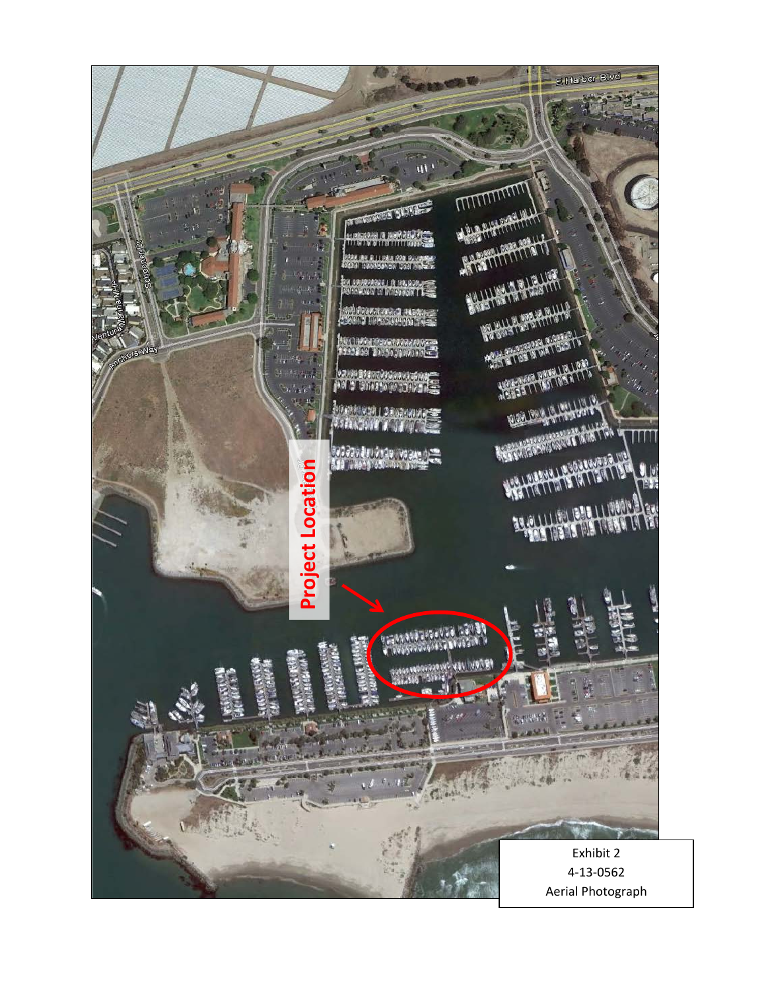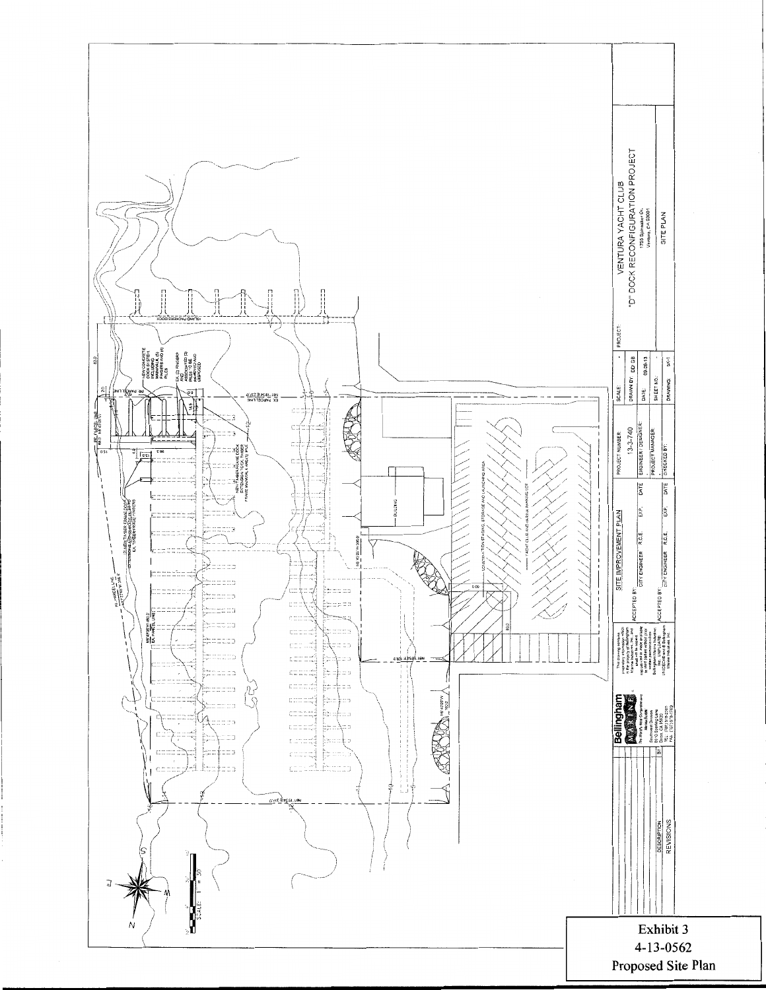